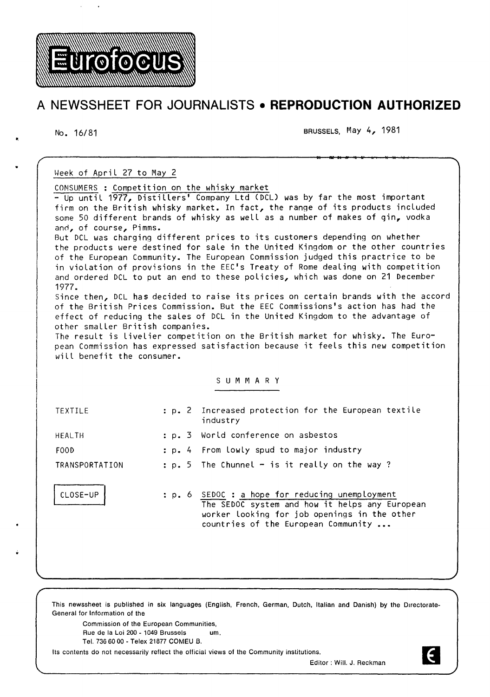

# **A NEWSSHEET FOR JOURNALISTS • REPRODUCTION AUTHORIZED**

No. 16/81 BRUSSELS, May 4, 1981

| Week of April 27 to May 2                                                                                                                                           |                                                                                |                                                                                |  |  |  |  |  |
|---------------------------------------------------------------------------------------------------------------------------------------------------------------------|--------------------------------------------------------------------------------|--------------------------------------------------------------------------------|--|--|--|--|--|
| CONSUMERS : Competition on the whisky market                                                                                                                        |                                                                                |                                                                                |  |  |  |  |  |
| - Up until 1977, Distillers' Company Ltd (DCL) was by far the most important                                                                                        |                                                                                |                                                                                |  |  |  |  |  |
| firm on the British whisky market. In fact, the range of its products included                                                                                      |                                                                                |                                                                                |  |  |  |  |  |
| some 50 different brands of whisky as well as a number of makes of gin, vodka                                                                                       |                                                                                |                                                                                |  |  |  |  |  |
| and, of course, Pimms.<br>But DCL was charging different prices to its customers depending on whether                                                               |                                                                                |                                                                                |  |  |  |  |  |
| the products were destined for sale in the United Kingdom or the other countries                                                                                    |                                                                                |                                                                                |  |  |  |  |  |
|                                                                                                                                                                     | of the European Community. The European Commission judged this practrice to be |                                                                                |  |  |  |  |  |
| in violation of provisions in the EEC's Treaty of Rome dealing with competition                                                                                     |                                                                                |                                                                                |  |  |  |  |  |
| and ordered DCL to put an end to these policies, which was done on 21 December                                                                                      |                                                                                |                                                                                |  |  |  |  |  |
| 1977.                                                                                                                                                               |                                                                                |                                                                                |  |  |  |  |  |
| Since then, DCL has decided to raise its prices on certain brands with the accord<br>of the British Prices Commission. But the EEC Commissions's action has had the |                                                                                |                                                                                |  |  |  |  |  |
| effect of reducing the sales of DCL in the United Kingdom to the advantage of                                                                                       |                                                                                |                                                                                |  |  |  |  |  |
| other smaller British companies.                                                                                                                                    |                                                                                |                                                                                |  |  |  |  |  |
|                                                                                                                                                                     |                                                                                | The result is livelier competition on the British market for whisky. The Euro- |  |  |  |  |  |
| pean Commission has expressed satisfaction because it feels this new competition                                                                                    |                                                                                |                                                                                |  |  |  |  |  |
| will benefit the consumer.                                                                                                                                          |                                                                                |                                                                                |  |  |  |  |  |
|                                                                                                                                                                     |                                                                                |                                                                                |  |  |  |  |  |
| SUMMARY                                                                                                                                                             |                                                                                |                                                                                |  |  |  |  |  |
|                                                                                                                                                                     |                                                                                |                                                                                |  |  |  |  |  |
| TEXTILE                                                                                                                                                             |                                                                                | : p. 2 Increased protection for the European textile<br>industry               |  |  |  |  |  |
| <b>HEALTH</b>                                                                                                                                                       | : p. 3                                                                         | World conference on asbestos                                                   |  |  |  |  |  |
|                                                                                                                                                                     |                                                                                |                                                                                |  |  |  |  |  |
| FOOD                                                                                                                                                                |                                                                                | : p. 4 From lowly spud to major industry                                       |  |  |  |  |  |
| TRANSPORTATION                                                                                                                                                      |                                                                                | : p. 5 The Chunnel $-$ is it really on the way?                                |  |  |  |  |  |
|                                                                                                                                                                     |                                                                                |                                                                                |  |  |  |  |  |
| CLOSE-UP                                                                                                                                                            |                                                                                | : p. 6 SEDOC : a hope for reducing unemployment                                |  |  |  |  |  |
|                                                                                                                                                                     |                                                                                | The SEDOC system and how it helps any European                                 |  |  |  |  |  |
|                                                                                                                                                                     |                                                                                | worker looking for job openings in the other                                   |  |  |  |  |  |
|                                                                                                                                                                     |                                                                                | countries of the European Community                                            |  |  |  |  |  |
|                                                                                                                                                                     |                                                                                |                                                                                |  |  |  |  |  |
|                                                                                                                                                                     |                                                                                |                                                                                |  |  |  |  |  |
|                                                                                                                                                                     |                                                                                |                                                                                |  |  |  |  |  |

This newssheet is published in six languages (English, French, German, Dutch, Italian and Danish) by the Directorate-General for Information of the

Commission of the European Communities, Rue de Ia Loi 200- 1049 Brussels um. Tel. 736 60 00- Telex 21877 COMEU B.

Its contents do not necessarily reflect the official views of the Community institutions.

Editor : Will. J. Reckman

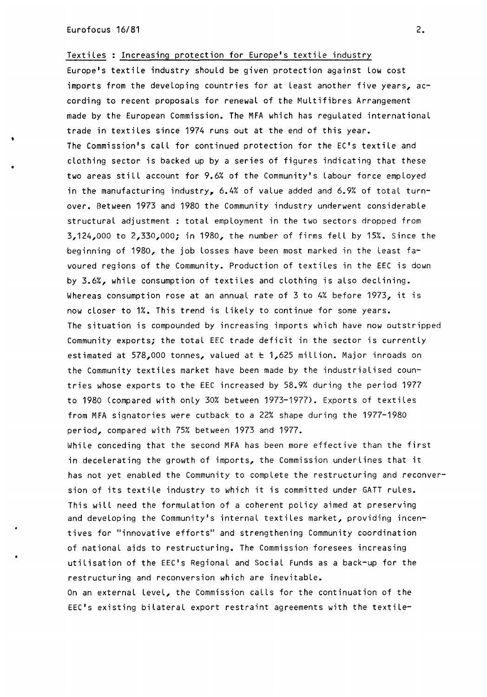Textiles : Increasing protection for Europe's textile industry Europe's textile industry should be given protection against Low cost imports from the developing countries for at Least another five years, according to recent proposals for renewal of the Multifibres Arrangement made by the European Commission. The MFA which has regulated international trade in textiles since 1974 runs out at the end of this year. The Commission's call for continued protection for the EC's textile and clothing sector is backed up by a series of figures indicating that these two areas still account for 9.6% of the Community's labour force employed in the manufacturing industry, 6.4% of value added and 6.9% of total turnover. Between 1973 and 1980 the Community industry underwent considerable structural adjustment : total employment in the two sectors dropped from 3,124,000 to 2,330,000; in 1980, the number of firms fell by 15%. Since the beginning of 1980, the job Losses have been most marked in the Least favoured regions of the Community. Production of textiles in the EEC is down by 3.6%, while consumption of textiles and clothing is also declining. Whereas consumption rose at an annual rate of 3 to 4% before 1973, it is now closer to 1%. This trend is likely to continue for some years. The situation is compounded by increasing imports which have now outstripped Community exports; the total EEC trade deficit in the sector is currently estimated at 578,000 tonnes, valued at  $t$  1,625 million. Major inroads on the Community textiles market have been made by the industrialised countries whose exports to the EEC increased by 58.9% during the period 1977 to 1980 (compared with only 30% between 1973-1977). Exports of textiles from MFA signatories were cutback to a 22% shape during the 1977-1980 period, compared with 75% between 1973 and 1977.

While conceding that the second MFA has been more effective than the first in decelerating the growth of imports, the Commission underlines that it has not yet enabled the Community to complete the restructuring and reconversion of its textile industry to which it is committed under GATT rules. This will need the formulation of a coherent policy aimed at preserving and developing the Community's internal textiles market, providing incentives for "innovative efforts" and strengthening Community coordination of national aids to restructuring. The Commission foresees increasing utilisation of the EEC's Regional and Social Funds as a back-up for the restructuring and reconversion which are inevitable.

On an external Level, the Commission calls for the continuation of the EEC's existing bilateral export restraint agreements with the textile-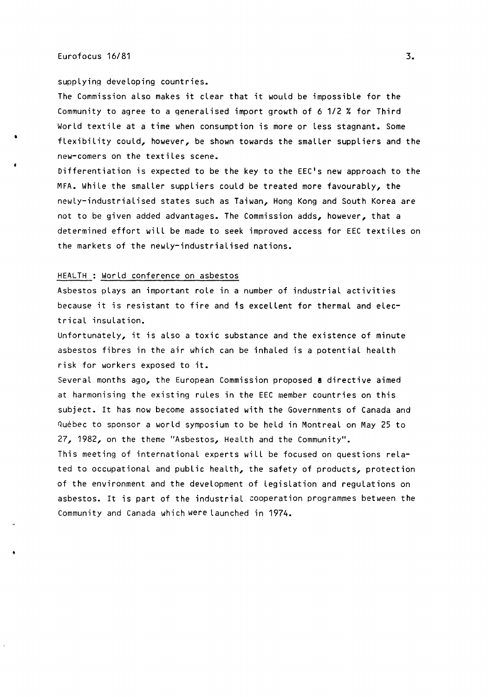#### Eurofocus 16/81 3. September 2008 3. September 2008 3. September 2008 3. September 2008 3. September 2008 3.

•

supplying developing countries.

The Commission also makes it clear that it would be impossible for the Community to agree to a generalised import growth of 6 1/2% for Third World textile at a time when consumption is more or Less stagnant. Some flexibility could, however, be shown towards the smaller suppliers and the new-comers on the textiles scene.

Differentiation is expected to be the key to the EEC's new approach to the MFA. While the smaller suppliers could be treated more favourably, the newly-industrialised states such as Taiwan, Hong Kong and South Korea are not to be given added advantages. The Commission adds, however, that a determined effort will be made to seek improved access for EEC textiles on the markets of the newly-industrialised nations.

## HEALTH : World conference on asbestos

Asbestos plays an important role in a number of industrial activities because it is resistant to fire and 1s excellent for thermal and electrical insulation.

Unfortunately, it is also a toxic substance and the existence of minute asbestos fibres in the air which can be inhaled is a potential health risk for workers exposed to it.

Several months ago, the European Commission proposed a directive aimed at harmonising the existing rules in the EEC member countries on this subject. It has now become associated with the Governments of Canada and Quebec to sponsor a world symposium to be held in Montreal on May 25 to 27, 1982, on the theme "Asbestos, Health and the Community".

This meeting of international experts will be focused on questions related to occupational and public health, the safety of products, protection of the environment and the development of Legislation and regulations on asbestos. It is part of the industrial cooperation programmes between the Community and Canada which were launched in 1974.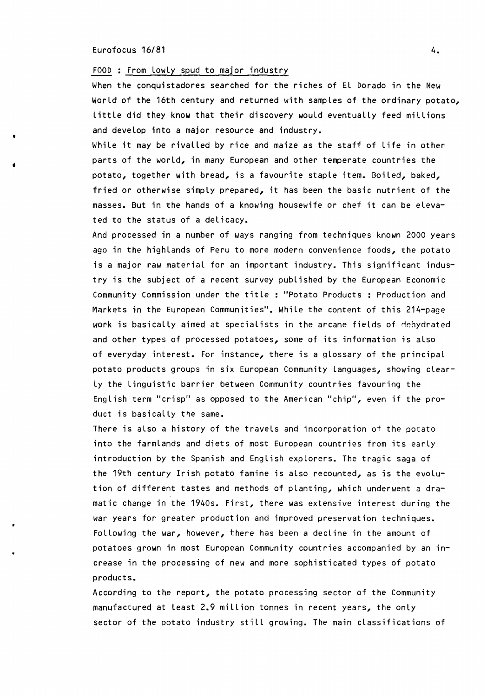#### Eurofocus 16/81 4.

'

•

#### FOOD : From Lowly spud to major industry

When the conquistadores searched for the riches of El Dorado in the New World of the 16th century and returned with samples of the ordinary potato, little did they know that their discovery would eventually feed millions and develop into a major resource and industry.

While it may be rivalled by rice and maize as the staff of life in other parts of the world, in many European and other temperate countries the potato, together with bread, is a favourite staple item. Boiled, baked, fried or otherwise simply prepared, it has been the basic nutrient of the masses. But in the hands of a knowing housewife or chef it can be elevated to the status of a delicacy.

And processed in a number of ways ranging from techniques known 2000 years ago in the highlands of Peru to more modern convenience foods, the potato is a major raw material for an important industry. This significant industry is the subject of a recent survey published by the European Economic Community Commission under the title : "Potato Products : Production and Markets in the European Communities". While the content of this 214-page work is basically aimed at specialists in the arcane fields of dehydrated and other types of processed potatoes, some of its information is also of everyday interest. For instance, there is a glossary of the principal potato products groups in six European Community Languages, showing clearly the linguistic barrier between Community countries favouring the English term "crisp" as opposed to the American "chip", even if the product is basically the same.

There is also a history of the travels and incorporation of the potato into the farmlands and diets of most European countries from its early introduction by the Spanish and English explorers. The tragic saga of the 19th century Irish potato famine is also recounted, as is the evolution of different tastes and methods of planting, which underwent a dramatic change in the 1940s. First, there was extensive interest during the war years for greater production and improved preservation techniques. Following the war, however, there has been a decline in the amount of potatoes grown in most European Community countries accompanied by an increase in the processing of new and more sophisticated types of potato products.

According to the report, the potato processing sector of the Community manufactured at least 2.9 million tonnes in recent years, the only sector of the potato industry still growing. The main classifications of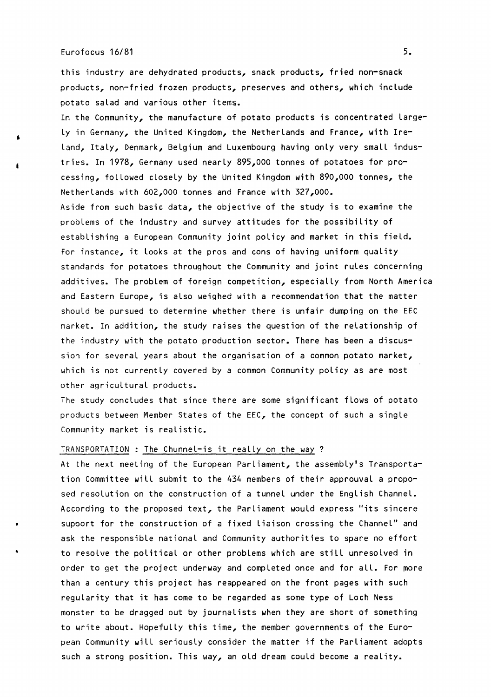## Eurofocus 16/81 s.

•

•

this industry are dehydrated products, snack products, fried non-snack products, non-fried frozen products, preserves and others, which include potato salad and various other items.

In the Community, the manufacture of potato products is concentrated Large-Ly in Germany, the United Kingdom, the Netherlands and France, with Ire-Land, Italy, Denmark, Belgium and Luxembourg having only very small industries. In 1978, Germany used nearly 895,000 tonnes of potatoes for processing, followed closely by the United Kingdom with 890,000 tonnes, the Netherlands with 602,000 tonnes and France with 327,000. Aside from such basic data, the objective of the study is to examine the problems of the industry and survey attitudes for the possibility of establishing a European Community joint policy and market in this field. For instance, it Looks at the pros and cons of having uniform quality standards for potatoes throughout the Community and joint rules concerning additives. The problem of foreign competition, especially from North America and Eastern Europe, is also weighed with a recommendation that the matter should be pursued to determine whether there is unfair dumping on the EEC market. In addition, the study raises the question of the relationship of the industry with the potato production sector. There has been a discussion for several years about the organisation of a common potato market, which is not currently covered by a common Community policy as are most

other agricultural products.

The study concludes that since there are some significant flows of potato products between Member States of the EEC, the concept of such a single Community market is realistic.

# TRANSPORTATION : The Chunnel-is it really on the way ?

At the next meeting of the European Parliament, the assembly's Transportation Committee will submit to the 434 members of their approuval a proposed resolution on the construction of a tunnel under the English Channel. According to the proposed text, the Parliament would express "its sincere support for the construction of a fixed Liaison crossing the Channel" and ask the responsible national and Community authorities to spare no effort to resolve the political or other problems which are still unresolved in order to get the project underway and completed once and for all. For more than a century this project has reappeared on the front pages with such regularity that it has come to be regarded as some type of Loch Ness monster to be dragged out by journalists when they are short of something to write about. Hopefully this time, the member governments of the European Community will seriously consider the matter if the Parliament adopts such a strong position. This way, an old dream could become a reality.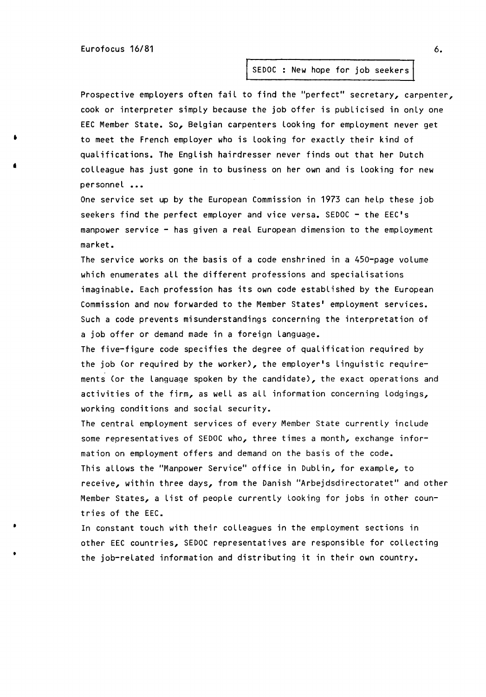Eurofocus 16/81 6.

•

•

•

•

# SEDOC: New hope for job seekers

Prospective employers often fail to find the "perfect" secretary, carpenter, cook or interpreter simply because the job offer is publicised in only one EEC Member State. So, Belgian carpenters looking for employment never get to meet the French employer who is looking for exactly their kind of qualifications. The English hairdresser never finds out that her Dutch colleague has just gone in to business on her own and is looking for new personnel ...

One service set up by the European Commission in 1973 can help these job seekers find the perfect employer and vice versa. SEDOC - the EEC's manpower service - has given a real European dimension to the employment market.

The service works on the basis of a code enshrined in a 450-page volume which enumerates all the different professions and specialisations imaginable. Each profession has its own code established by the European Commission and now forwarded to the Member States' employment services. Such a code prevents misunderstandings concerning the interpretation of a job offer or demand made in a foreign language.

The five-figure code specifies the degree of qualification required by the job (or required by the worker), the employer's Linguistic requirements (or the language spoken by the candidate), the exact operations and activities of the firm, as well as all information concerning lodgings, working conditions and social security.

The central employment services of every Member State currently include some representatives of SEDOC who, three times a month, exchange information on employment offers and demand on the basis of the code. This allows the "Manpower Service" office in Dublin, for example, to receive, within three days, from the Danish "Arbejdsdirectoratet" and other Member States, a List of people currently looking for jobs in other countries of the EEC •

In constant touch with their colleagues in the employment sections in other EEC countries, SEDOC representatives are responsible for collecting the job-related information and distributing it in their own country.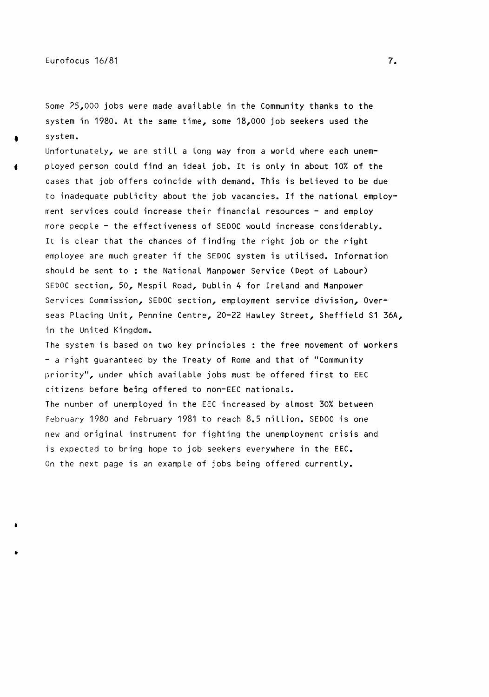•

•

Some 25,000 jobs were made available in the Community thanks to the system in 1980. At the same time, some 18,000 job seekers used the system.

Unfortunately, we are still a Long way from a world where each unemployed person could find an ideal job. It is only in about 10% of the cases that job offers coincide with demand. This is believed to be due to inadequate publicity about the job vacancies. If the national employment services could increase their financial resources - and employ more people - the effectiveness of SEDOC would increase considerably. It is clear that the chances of finding the right job or the right employee are much greater if the SEDOC system is utilised. Information should be sent to : the National Manpower Service (Dept of Labour) SEDOC section, So, Mespil Road, Dublin 4 for Ireland and Manpower Services Commission, SEDOC section, employment service division, Overseas Placing Unit, Pennine Centre, 20-22 Hawley Street, Sheffield S1 36A, in the United Kingdom.

The system is based on two key principles : the free movement of workers - a right guaranteed by the Treaty of Rome and that of "Community priority'', under which available jobs must be offered first to EEC citizens before being offered to non-EEC nationals.

The number of unemployed in the EEC increased by almost 30% between February 1980 and February 1981 to reach 8.5 million. SEDOC is one new and original instrument for fighting the unemployment crisis and is expected to bring hope to job seekers everywhere in the EEC. On the next page is an example of jobs being offered currently.

7.